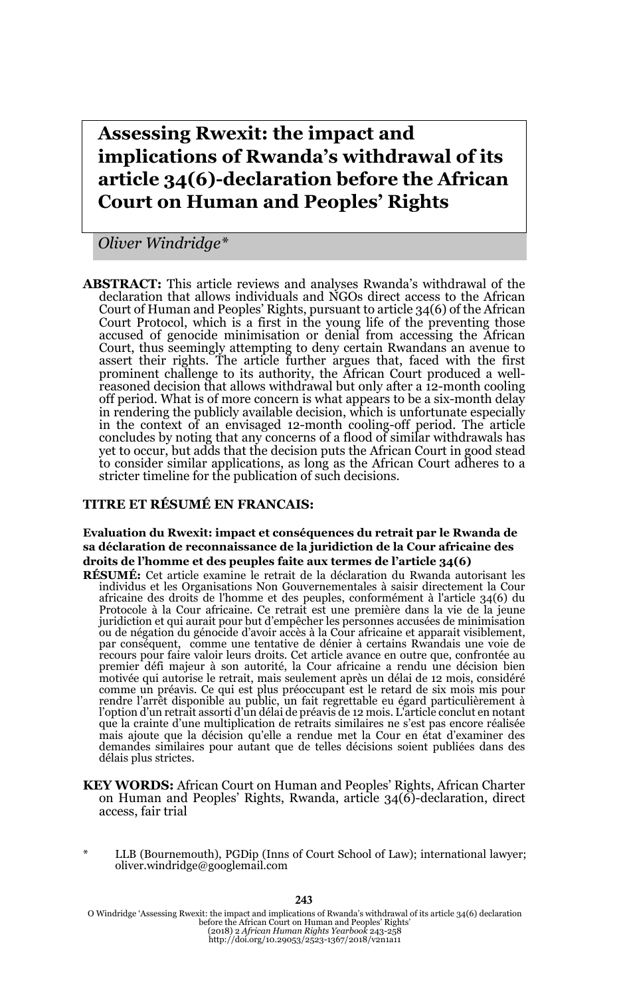**Assessing Rwexit: the impact and implications of Rwanda's withdrawal of its article 34(6)-declaration before the African Court on Human and Peoples' Rights**

*Oliver Windridge\**

**ABSTRACT:** This article reviews and analyses Rwanda's withdrawal of the declaration that allows individuals and NGOs direct access to the African Court of Human and Peoples' Rights, pursuant to article 34(6) of the African Court Protocol, which is a first in the young life of the preventing those accused of genocide minimisation or denial from accessing the African Court, thus seemingly attempting to deny certain Rwandans an avenue to assert their rights. The article further argues that, faced with the first prominent challenge to its authority, the African Court produced a wellreasoned decision that allows withdrawal but only after a 12-month cooling off period. What is of more concern is what appears to be a six-month delay in rendering the publicly available decision, which is unfortunate especially in the context of an envisaged 12-month cooling-off period. The article concludes by noting that any concerns of a flood of similar withdrawals has yet to occur, but adds that the decision puts the African Court in good stead to consider similar applications, as long as the African Court adheres to a stricter timeline for the publication of such decisions.

#### **TITRE ET RÉSUMÉ EN FRANCAIS:**

**Evaluation du Rwexit: impact et conséquences du retrait par le Rwanda de sa déclaration de reconnaissance de la juridiction de la Cour africaine des droits de l'homme et des peuples faite aux termes de l'article 34(6)**

**RÉSUMÉ:** Cet article examine le retrait de la déclaration du Rwanda autorisant les individus et les Organisations Non Gouvernementales à saisir directement la Cour africaine des droits de l'homme et des peuples, conformément à l'article 34(6) du<br>Protocole à la Cour africaine. Ce retrait est une première dans la vie de la jeune<br>juridiction et qui aurait pour but d'empêcher les personn ou de négation du génocide d'avoir accès à la Cour africaine et apparait visiblement, par conséquent, comme une tentative de dénier à certains Rwandais une voie de recours pour faire valoir leurs droits. Cet article avance en outre que, confrontée au premier défi majeur à son autorité, la Cour africaine a rendu une décision bien motivée qui autorise le retrait, mais seulement après un délai de 12 mois, considéré comme un préavis. Ce qui est plus préoccupant est le retard de six mois mis pour rendre l'arrêt disponible au public, un fait regrettable eu égard particulièrement à<br>l'option d'un retrait assorti d'un délai de préavis de 12 mois. L'article conclut en notant que la crainte d'une multiplication de retraits similaires ne s'est pas encore réalisée mais ajoute que la décision qu'elle a rendue met la Cour en état d'examiner des demandes similaires pour autant que de telles décisions soient publiées dans des délais plus strictes.

- **KEY WORDS:** African Court on Human and Peoples' Rights, African Charter on Human and Peoples' Rights, Rwanda, article 34(6)-declaration, direct access, fair trial
- LLB (Bournemouth), PGDip (Inns of Court School of Law); international lawyer; oliver.windridge@googlemail.com

243

O Windridge 'Assessing Rwexit: the impact and implications of Rwanda's withdrawal of its article 34(6) declaration<br>before the African Court on Human and Peoples' Rights'<br>(2018) 2 African Human Aights Yearbook 243-258<br>http: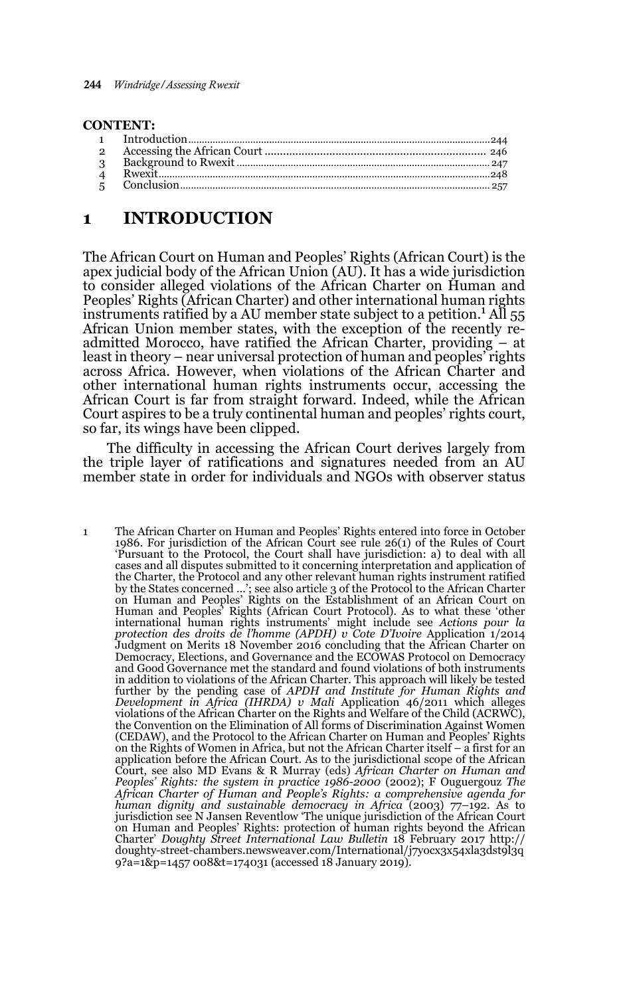#### **CONTENT:**

# **1 INTRODUCTION**

The African Court on Human and Peoples' Rights (African Court) is the apex judicial body of the African Union (AU). It has a wide jurisdiction to consider alleged violations of the African Charter on Human and Peoples' Rights (African Charter) and other international human rights instruments ratified by a AU member state subject to a petition.<sup>1</sup> All 55 African Union member states, with the exception of the recently readmitted Morocco, have ratified the African Charter, providing – at least in theory – near universal protection of human and peoples' rights across Africa. However, when violations of the African Charter and other international human rights instruments occur, accessing the African Court is far from straight forward. Indeed, while the African Court aspires to be a truly continental human and peoples' rights court, so far, its wings have been clipped.

The difficulty in accessing the African Court derives largely from the triple layer of ratifications and signatures needed from an AU member state in order for individuals and NGOs with observer status

1 The African Charter on Human and Peoples' Rights entered into force in October 1986. For jurisdiction of the African Court see rule 26(1) of the Rules of Court 'Pursuant to the Protocol, the Court shall have jurisdiction: a) to deal with all cases and all disputes submitted to it concerning interpretation and application of the Charter, the Protocol and any other relevant human rights instrument ratified by the States concerned …'; see also article 3 of the Protocol to the African Charter on Human and Peoples' Rights on the Establishment of an African Court on Human and Peoples' Rights (African Court Protocol)*.* As to what these 'other international human rights instruments' might include see *Actions pour la protection des droits de l'homme (APDH) v Cote D'Ivoire* Application 1/2014 Judgment on Merits 18 November 2016 concluding that the African Charter on Democracy, Elections, and Governance and the ECOWAS Protocol on Democracy and Good Governance met the standard and found violations of both instruments in addition to violations of the African Charter. This approach will likely be tested further by the pending case of *APDH and Institute for Human Rights and Development in Africa (IHRDA) v Mali* Application 46/2011 which alleges violations of the African Charter on the Rights and Welfare of the Child (ACRWC), the Convention on the Elimination of All forms of Discrimination Against Women (CEDAW), and the Protocol to the African Charter on Human and Peoples' Rights on the Rights of Women in Africa, but not the African Charter itself – a first for an application before the African Court. As to the jurisdictional scope of the African Court, see also MD Evans & R Murray (eds) *African Charter on Human and Peoples' Rights: the system in practice 1986-2000* (2002); F Ouguergouz *The African Charter of Human and People's Rights: a comprehensive agenda for human dignity and sustainable democracy in Africa* (2003) 77–192. As to jurisdiction see N Jansen Reventlow 'The unique jurisdiction of the African Court on Human and Peoples' Rights: protection of human rights beyond the African Charter' *Doughty Street International Law Bulletin* 18 February 2017 http:// doughty-street-chambers.newsweaver.com/International/j7yocx3x54xla3dst9l3q 9?a=1&p=1457 008&t=174031 (accessed 18 January 2019).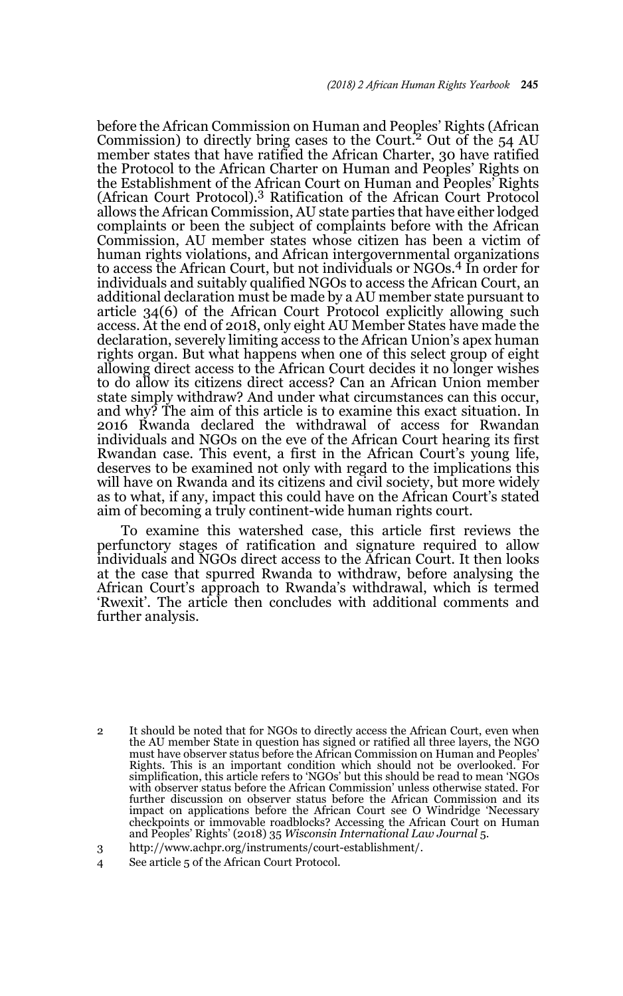before the African Commission on Human and Peoples' Rights (African Commission) to directly bring cases to the Court.<sup>2</sup> Out of the  $54 \text{ AU}$ member states that have ratified the African Charter, 30 have ratified the Protocol to the African Charter on Human and Peoples' Rights on the Establishment of the African Court on Human and Peoples' Rights (African Court Protocol).3 Ratification of the African Court Protocol allows the African Commission, AU state parties that have either lodged complaints or been the subject of complaints before with the African Commission, AU member states whose citizen has been a victim of human rights violations, and African intergovernmental organizations to access the African Court, but not individuals or NGOs.4 In order for individuals and suitably qualified NGOs to access the African Court, an additional declaration must be made by a AU member state pursuant to article 34(6) of the African Court Protocol explicitly allowing such access. At the end of 2018, only eight AU Member States have made the declaration, severely limiting access to the African Union's apex human rights organ. But what happens when one of this select group of eight allowing direct access to the African Court decides it no longer wishes to do allow its citizens direct access? Can an African Union member state simply withdraw? And under what circumstances can this occur, and why? The aim of this article is to examine this exact situation. In 2016 Rwanda declared the withdrawal of access for Rwandan individuals and NGOs on the eve of the African Court hearing its first Rwandan case. This event, a first in the African Court's young life, deserves to be examined not only with regard to the implications this will have on Rwanda and its citizens and civil society, but more widely as to what, if any, impact this could have on the African Court's stated aim of becoming a truly continent-wide human rights court.

To examine this watershed case, this article first reviews the perfunctory stages of ratification and signature required to allow individuals and NGOs direct access to the African Court. It then looks at the case that spurred Rwanda to withdraw, before analysing the African Court's approach to Rwanda's withdrawal, which is termed 'Rwexit'. The article then concludes with additional comments and further analysis.

<sup>2</sup> It should be noted that for NGOs to directly access the African Court, even when the AU member State in question has signed or ratified all three layers, the NGO must have observer status before the African Commission on Human and Peoples' Rights. This is an important condition which should not be overlooked. For simplification, this article refers to 'NGOs' but this should be read to mean 'NGOs with observer status before the African Commission' unless otherwise stated. For further discussion on observer status before the African Commission and its impact on applications before the African Court see O Windridge 'Necessary checkpoints or immovable roadblocks? Accessing the African Court on Human and Peoples' Rights' (2018) 35 *Wisconsin International Law Journal* 5.

<sup>3</sup> http://www.achpr.org/instruments/court-establishment/.

<sup>4</sup> See article 5 of the African Court Protocol.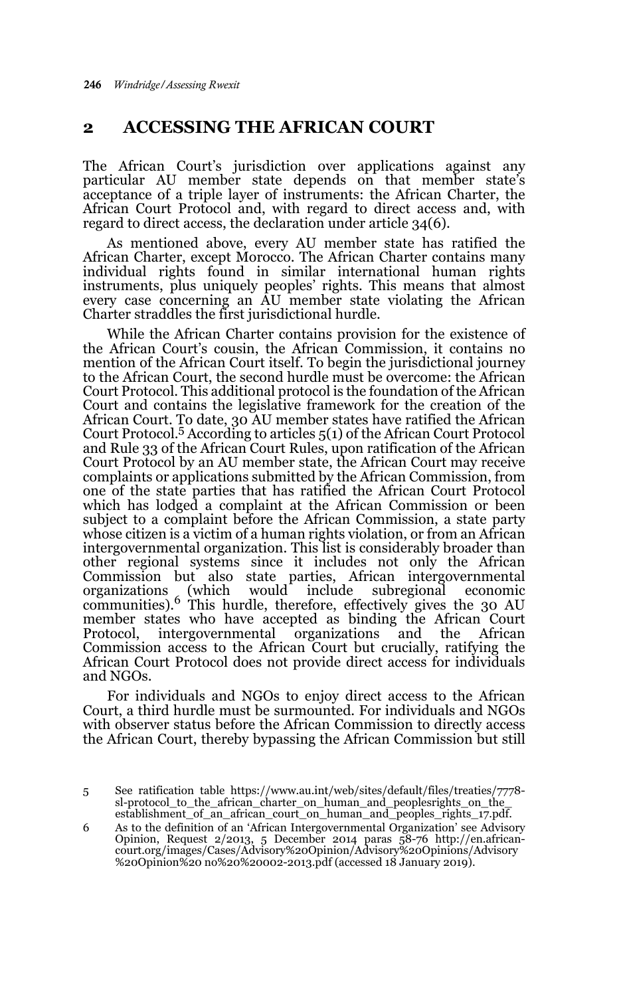## **2 ACCESSING THE AFRICAN COURT**

The African Court's jurisdiction over applications against any particular AU member state depends on that member state's acceptance of a triple layer of instruments: the African Charter, the African Court Protocol and, with regard to direct access and, with regard to direct access, the declaration under article 34(6).

As mentioned above, every AU member state has ratified the African Charter, except Morocco. The African Charter contains many individual rights found in similar international human rights instruments, plus uniquely peoples' rights. This means that almost every case concerning an AU member state violating the African Charter straddles the first jurisdictional hurdle.

While the African Charter contains provision for the existence of the African Court's cousin, the African Commission, it contains no mention of the African Court itself. To begin the jurisdictional journey to the African Court, the second hurdle must be overcome: the African Court Protocol. This additional protocol is the foundation of the African Court and contains the legislative framework for the creation of the African Court. To date, 30 AU member states have ratified the African Court Protocol.5 According to articles 5(1) of the African Court Protocol and Rule 33 of the African Court Rules, upon ratification of the African Court Protocol by an AU member state, the African Court may receive complaints or applications submitted by the African Commission, from one of the state parties that has ratified the African Court Protocol which has lodged a complaint at the African Commission or been subject to a complaint before the African Commission, a state party whose citizen is a victim of a human rights violation, or from an African intergovernmental organization. This list is considerably broader than other regional systems since it includes not only the African Commission but also state parties, African intergovernmental organizations (which would include subregional economic communities).6 This hurdle, therefore, effectively gives the 30 AU member states who have accepted as binding the African Court Protocol, intergovernmental organizations and the African Protocol, intergovernmental organizations and the African Commission access to the African Court but crucially, ratifying the African Court Protocol does not provide direct access for individuals and NGOs.

For individuals and NGOs to enjoy direct access to the African Court, a third hurdle must be surmounted. For individuals and NGOs with observer status before the African Commission to directly access the African Court, thereby bypassing the African Commission but still

6 As to the definition of an 'African Intergovernmental Organization' see Advisory Opinion, Request 2/2013, 5 December 2014 paras 58-76 http://en.african-court.org/images/Cases/Advisory%20Opinion/Advisory%20Opinions/Advisory %20Opinion%20 no%20%20002-2013.pdf (accessed 18 January 2019).

<sup>5</sup> See ratification table https://www.au.int/web/sites/default/files/treaties/7778 sl-protocol\_to\_the\_african\_charter\_on\_human\_and\_peoplesrights\_on\_the\_ establishment\_of\_an\_african\_court\_on\_human\_and\_peoples\_rights\_17.pdf.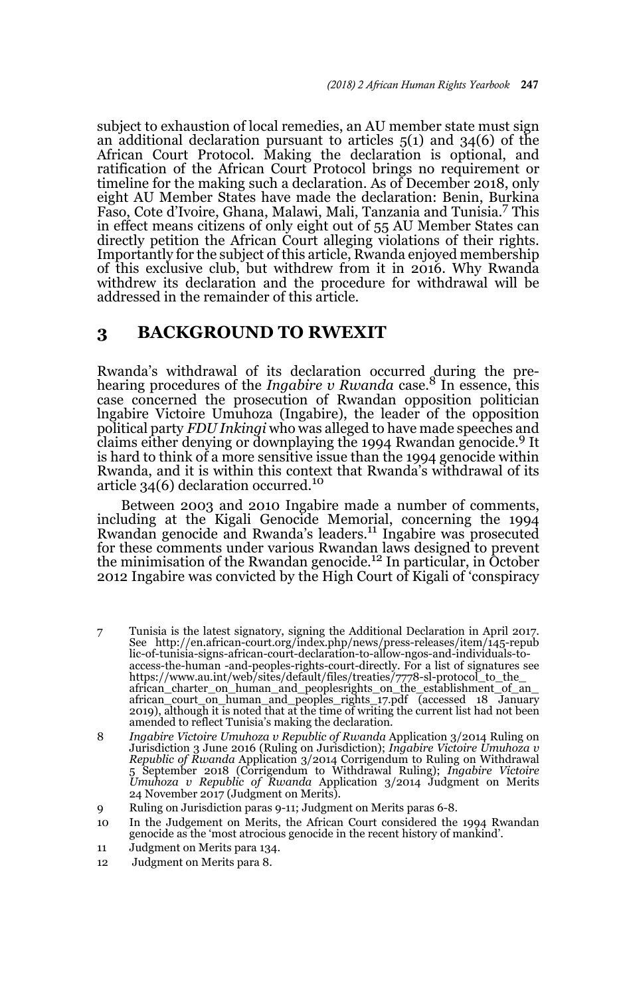subject to exhaustion of local remedies, an AU member state must sign an additional declaration pursuant to articles 5(1) and 34(6) of the African Court Protocol. Making the declaration is optional, and ratification of the African Court Protocol brings no requirement or timeline for the making such a declaration. As of December 2018, only eight AU Member States have made the declaration: Benin, Burkina Faso, Cote d'Ivoire, Ghana, Malawi, Mali, Tanzania and Tunisia.7 This in effect means citizens of only eight out of 55 AU Member States can directly petition the African Court alleging violations of their rights. Importantly for the subject of this article, Rwanda enjoyed membership of this exclusive club, but withdrew from it in 2016. Why Rwanda withdrew its declaration and the procedure for withdrawal will be addressed in the remainder of this article.

#### **3 BACKGROUND TO RWEXIT**

Rwanda's withdrawal of its declaration occurred during the pre-hearing procedures of the *Ingabire v Rwanda* case.8 In essence, this case concerned the prosecution of Rwandan opposition politician lngabire Victoire Umuhoza (Ingabire), the leader of the opposition political party *FDU Inkingi* who was alleged to have made speeches and claims either denying or downplaying the 1994 Rwandan genocide.9 It is hard to think of a more sensitive issue than the 1994 genocide within Rwanda, and it is within this context that Rwanda's withdrawal of its<br>article 34(6) declaration occurred.<sup>10</sup>

Between 2003 and 2010 Ingabire made a number of comments, including at the Kigali Genocide Memorial, concerning the 1994 Rwandan genocide and Rwanda's leaders.<sup>11</sup> Ingabire was prosecuted for these comments under various Rwandan laws designed to prevent the minimisation of the Rwandan genocide.12 In particular, in October 2012 Ingabire was convicted by the High Court of Kigali of 'conspiracy

7 Tunisia is the latest signatory, signing the Additional Declaration in April 2017. See http://en.african-court.org/index.php/news/press-releases/item/145-repub lic-of-tunisia-signs-african-court-declaration-to-allow-ngos-and-individuals-toaccess-the-human -and-peoples-rights-court-directly. For a list of signatures see https://www.au.int/web/sites/default/files/treaties/7778-sl-protocol\_to\_the\_ african\_charter\_on\_human\_and\_peoplesrights\_on\_the\_establishment\_of\_an\_ african\_court\_on\_human\_and\_peoples\_rights\_17.pdf (accessed 18 January 2019), although it is noted that at the time of writing the current list had not been amended to reflect Tunisia's making the declaration.

8 *Ingabire Victoire Umuhoza v Republic of Rwanda* Application 3/2014 Ruling on Jurisdiction 3 June 2016 (Ruling on Jurisdiction); *Ingabire Victoire Umuhoza v Republic of Rwanda* Application 3/2014 Corrigendum to Ruling on Withdrawal 5 September 2018 (Corrigendum to Withdrawal Ruling); *Ingabire Victoire Umuhoza v Republic of Rwanda* Application 3/2014 Judgment on Merits 24 November 2017 (Judgment on Merits).

<sup>9</sup> Ruling on Jurisdiction paras 9-11; Judgment on Merits paras 6-8.

<sup>10</sup> In the Judgement on Merits, the African Court considered the 1994 Rwandan genocide as the 'most atrocious genocide in the recent history of mankind'.

<sup>11</sup> Judgment on Merits para 134.

<sup>12</sup> Judgment on Merits para 8.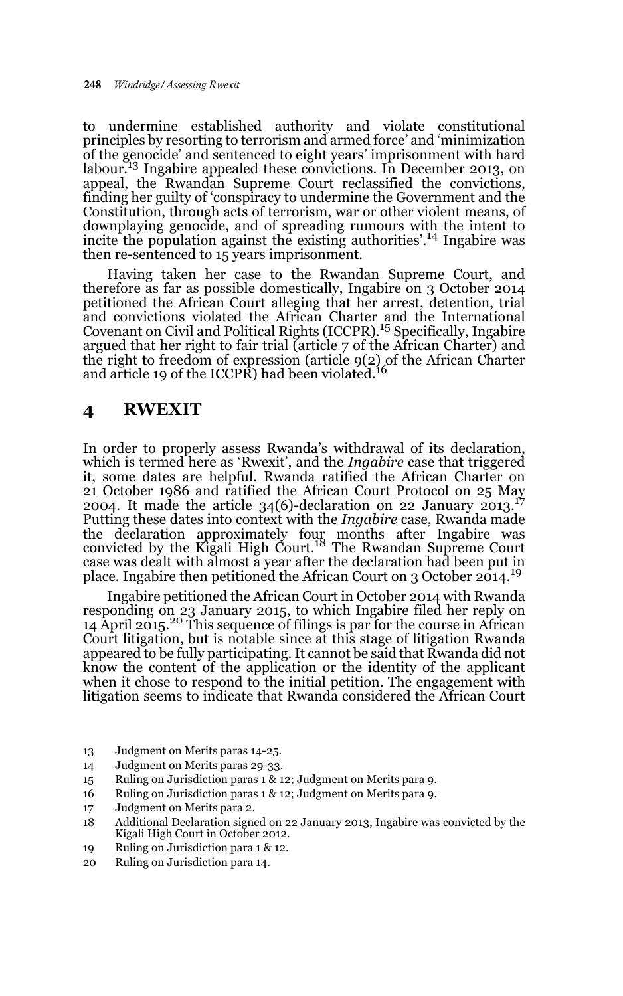to undermine established authority and violate constitutional principles by resorting to terrorism and armed force' and 'minimization of the genocide' and sentenced to eight years' imprisonment with hard labour.<sup>13</sup> Ingabire appealed these convictions. In December 2013, on appeal, the Rwandan Supreme Court reclassified the convictions, finding her guilty of 'conspiracy to undermine the Government and the Constitution, through acts of terrorism, war or other violent means, of downplaying genocide, and of spreading rumours with the intent to incite the population against the existing authorities'.14 Ingabire was then re-sentenced to 15 years imprisonment.

Having taken her case to the Rwandan Supreme Court, and therefore as far as possible domestically, Ingabire on 3 October 2014 petitioned the African Court alleging that her arrest, detention, trial and convictions violated the African Charter and the International<br>Covenant on Civil and Political Rights (ICCPR).<sup>15</sup> Specifically, Ingabire argued that her right to fair trial (article 7 of the African Charter) and the right to freedom of expression (article 9(2) of the African Charter and article 19 of the ICCPR) had been violated.<sup>16</sup>

## **4 RWEXIT**

In order to properly assess Rwanda's withdrawal of its declaration, which is termed here as 'Rwexit', and the *Ingabire* case that triggered it, some dates are helpful. Rwanda ratified the African Charter on 21 October 1986 and ratified the African Court Protocol on 25 May 2004. It made the article 34(6)-declaration on 22 January 2013.<sup>17</sup> Putting these dates into context with the *Ingabire* case, Rwanda made the declaration approximately four months after Ingabire was<br>convicted by the Kigali High Court.<sup>18</sup> The Rwandan Supreme Court case was dealt with almost a year after the declaration had been put in place. Ingabire then petitioned the African Court on 3 October 2014.<sup>19</sup>

Ingabire petitioned the African Court in October 2014 with Rwanda responding on 23 January 2015, to which Ingabire filed her reply on 14 April 2015.<sup>20</sup> This sequence of filings is par for the course in African Court litigation, but is notable since at this stage of litigation Rwanda appeared to be fully participating. It cannot be said that Rwanda did not know the content of the application or the identity of the applicant when it chose to respond to the initial petition. The engagement with litigation seems to indicate that Rwanda considered the African Court

- 13 Judgment on Merits paras 14-25.
- 14 Judgment on Merits paras 29-33.
- 15 Ruling on Jurisdiction paras 1 & 12; Judgment on Merits para 9.
- 16 Ruling on Jurisdiction paras 1 & 12; Judgment on Merits para 9.
- 17 Judgment on Merits para 2.
- 18 Additional Declaration signed on 22 January 2013, Ingabire was convicted by the Kigali High Court in October 2012.
- 19 Ruling on Jurisdiction para 1 & 12.
- 20 Ruling on Jurisdiction para 14.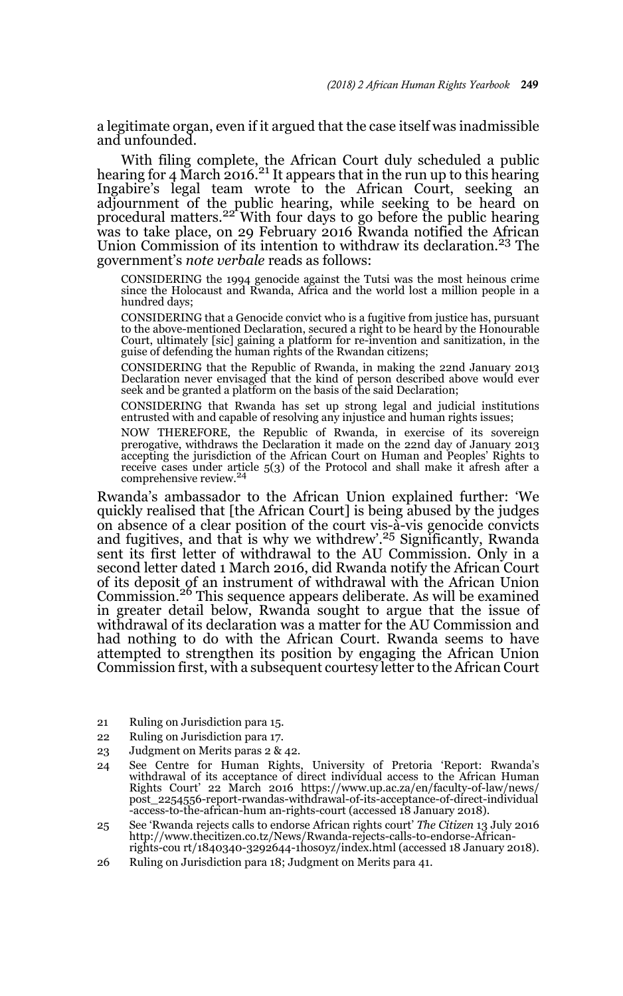a legitimate organ, even if it argued that the case itself was inadmissible and unfounded.

With filing complete, the African Court duly scheduled a public hearing for 4 March 2016.<sup>21</sup> It appears that in the run up to this hearing Ingabire's legal team wrote to the African Court, seeking an adjournment of the public hearing, while seeking to be heard on<br>procedural matters.<sup>22</sup> With four days to go before the public hearing was to take place, on 29 February 2016 Rwanda notified the African Union Commission of its intention to withdraw its declaration.<sup>23</sup> The government's *note verbale* reads as follows:

CONSIDERING the 1994 genocide against the Tutsi was the most heinous crime since the Holocaust and Rwanda, Africa and the world lost a million people in a hundred days;

CONSIDERING that a Genocide convict who is a fugitive from justice has, pursuant to the above-mentioned Declaration, secured a right to be heard by the Honourable Court, ultimately [sic] gaining a platform for re-invention and sanitization, in the guise of defending the human rights of the Rwandan citizens;

CONSIDERING that the Republic of Rwanda, in making the 22nd January 2013 Declaration never envisaged that the kind of person described above would ever seek and be granted a platform on the basis of the said Declaration;

CONSIDERING that Rwanda has set up strong legal and judicial institutions entrusted with and capable of resolving any injustice and human rights issues;

NOW THEREFORE, the Republic of Rwanda, in exercise of its sovereign prerogative, withdraws the Declaration it made on the 22nd day of January 2013 accepting the jurisdiction of the African Court on Human and Peoples' Rights to receive cases under article 5(3) of the Protocol and shall make it afresh after a comprehensive review.<sup>24</sup>

Rwanda's ambassador to the African Union explained further: 'We quickly realised that [the African Court] is being abused by the judges on absence of a clear position of the court vis-à-vis genocide convicts and fugitives, and that is why we withdrew'.<sup>25</sup> Significantly, Rwanda sent its first letter of withdrawal to the AU Commission. Only in a second letter dated 1 March 2016, did Rwanda notify the African Court of its deposit of an instrument of withdrawal with the African Union Commission.26 This sequence appears deliberate. As will be examined in greater detail below, Rwanda sought to argue that the issue of withdrawal of its declaration was a matter for the AU Commission and had nothing to do with the African Court. Rwanda seems to have attempted to strengthen its position by engaging the African Union Commission first, with a subsequent courtesy letter to the African Court

- 21 Ruling on Jurisdiction para 15.
- 22 Ruling on Jurisdiction para 17.
- 23 Judgment on Merits paras 2 & 42.
- 24 See Centre for Human Rights, University of Pretoria 'Report: Rwanda's withdrawal of its acceptance of direct individual access to the African Human Rights Court' 22 March 2016 https://www.up.ac.za/en/faculty-of-law/news/ post\_2254556-report-rwandas-withdrawal-of-its-acceptance-of-direct-individual -access-to-the-african-hum an-rights-court (accessed 18 January 2018).
- 25 See 'Rwanda rejects calls to endorse African rights court' *The Citizen* 13 July 2016 http://www.thecitizen.co.tz/News/Rwanda-rejects-calls-to-endorse-Africanrights-cou rt/1840340-3292644-1hos0yz/index.html (accessed 18 January 2018).
- 26 Ruling on Jurisdiction para 18; Judgment on Merits para 41.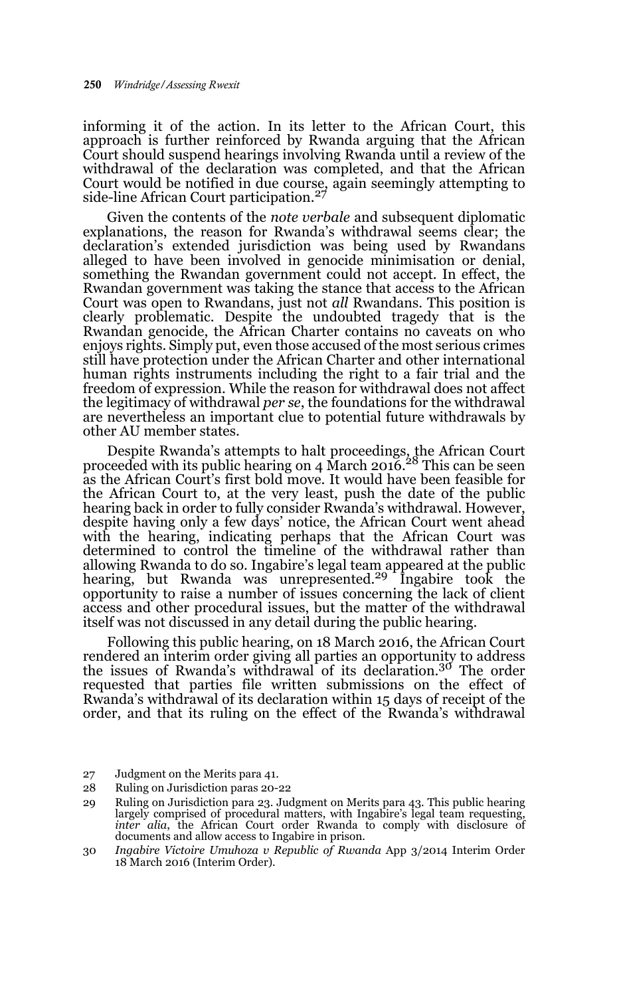informing it of the action. In its letter to the African Court, this approach is further reinforced by Rwanda arguing that the African Court should suspend hearings involving Rwanda until a review of the withdrawal of the declaration was completed, and that the African Court would be notified in due course, again seemingly attempting to side-line African Court participation.<sup>27</sup>

Given the contents of the *note verbale* and subsequent diplomatic explanations, the reason for Rwanda's withdrawal seems clear; the declaration's extended jurisdiction was being used by Rwandans alleged to have been involved in genocide minimisation or denial, something the Rwandan government could not accept. In effect, the Rwandan government was taking the stance that access to the African Court was open to Rwandans, just not *all* Rwandans. This position is clearly problematic. Despite the undoubted tragedy that is the Rwandan genocide, the African Charter contains no caveats on who enjoys rights. Simply put, even those accused of the most serious crimes still have protection under the African Charter and other international human rights instruments including the right to a fair trial and the freedom of expression. While the reason for withdrawal does not affect the legitimacy of withdrawal *per se*, the foundations for the withdrawal are nevertheless an important clue to potential future withdrawals by other AU member states.

Despite Rwanda's attempts to halt proceedings, the African Court proceeded with its public hearing on 4 March 2016.28 This can be seen as the African Court's first bold move. It would have been feasible for the African Court to, at the very least, push the date of the public hearing back in order to fully consider Rwanda's withdrawal. However, despite having only a few days' notice, the African Court went ahead with the hearing, indicating perhaps that the African Court was determined to control the timeline of the withdrawal rather than allowing Rwanda to do so. Ingabire's legal team appeared at the public<br>hearing, but Rwanda was unrepresented.<sup>29</sup> Ingabire took the opportunity to raise a number of issues concerning the lack of client access and other procedural issues, but the matter of the withdrawal itself was not discussed in any detail during the public hearing.

Following this public hearing, on 18 March 2016, the African Court rendered an interim order giving all parties an opportunity to address the issues of Rwanda's withdrawal of its declaration.30 The order requested that parties file written submissions on the effect of Rwanda's withdrawal of its declaration within 15 days of receipt of the order, and that its ruling on the effect of the Rwanda's withdrawal

- 27 Judgment on the Merits para 41.
- 28 Ruling on Jurisdiction paras 20-22
- 29 Ruling on Jurisdiction para 23. Judgment on Merits para 43. This public hearing largely comprised of procedural matters, with Ingabire's legal team requesting, *inter alia*, the African Court order Rwanda to comply with disclosure of documents and allow access to Ingabire in prison.
- 30 *Ingabire Victoire Umuhoza v Republic of Rwanda* App 3/2014 Interim Order 18 March 2016 (Interim Order).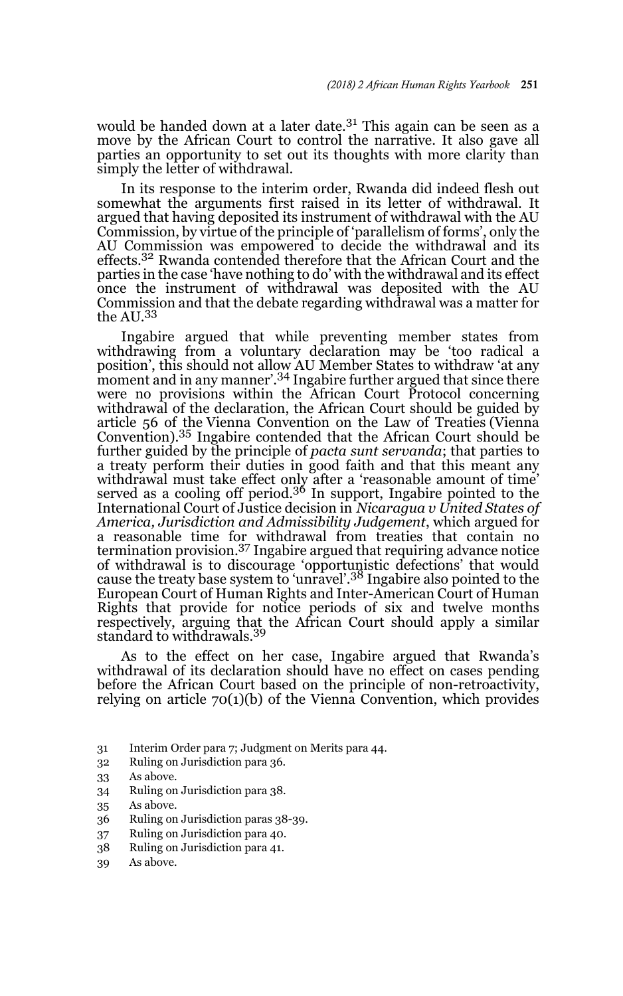would be handed down at a later date.<sup>31</sup> This again can be seen as a move by the African Court to control the narrative. It also gave all parties an opportunity to set out its thoughts with more clarity than simply the letter of withdrawal.

In its response to the interim order, Rwanda did indeed flesh out somewhat the arguments first raised in its letter of withdrawal. It argued that having deposited its instrument of withdrawal with the AU Commission, by virtue of the principle of 'parallelism of forms', only the AU Commission was empowered to decide the withdrawal and its effects.32 Rwanda contended therefore that the African Court and the parties in the case 'have nothing to do' with the withdrawal and its effect once the instrument of withdrawal was deposited with the AU Commission and that the debate regarding withdrawal was a matter for the AU.<sup>33</sup>

Ingabire argued that while preventing member states from withdrawing from a voluntary declaration may be 'too radical a position', this should not allow AU Member States to withdraw 'at any moment and in any manner'.<sup>34</sup> Ingabire further argued that since there were no provisions within the African Court Protocol concerning withdrawal of the declaration, the African Court should be guided by article 56 of the Vienna Convention on the Law of Treaties (Vienna Convention).35 Ingabire contended that the African Court should be further guided by the principle of *pacta sunt servanda*; that parties to a treaty perform their duties in good faith and that this meant any withdrawal must take effect only after a 'reasonable amount of time' served as a cooling off period.36 In support, Ingabire pointed to the International Court of Justice decision in *Nicaragua v United States of America, Jurisdiction and Admissibility Judgement*, which argued for a reasonable time for withdrawal from treaties that contain no termination provision.37 Ingabire argued that requiring advance notice of withdrawal is to discourage 'opportunistic defections' that would cause the treaty base system to 'unravel'.38 Ingabire also pointed to the European Court of Human Rights and Inter-American Court of Human Rights that provide for notice periods of six and twelve months respectively, arguing that the African Court should apply a similar standard to withdrawals.<sup>39</sup>

As to the effect on her case, Ingabire argued that Rwanda's withdrawal of its declaration should have no effect on cases pending before the African Court based on the principle of non-retroactivity, relying on article 70(1)(b) of the Vienna Convention, which provides

- 31 Interim Order para 7; Judgment on Merits para 44.
- 32 Ruling on Jurisdiction para 36.
- 33 As above.
- 34 Ruling on Jurisdiction para 38.
- 35 As above.
- 36 Ruling on Jurisdiction paras 38-39.
- 37 Ruling on Jurisdiction para 40.
- 38 Ruling on Jurisdiction para 41.
- 39 As above.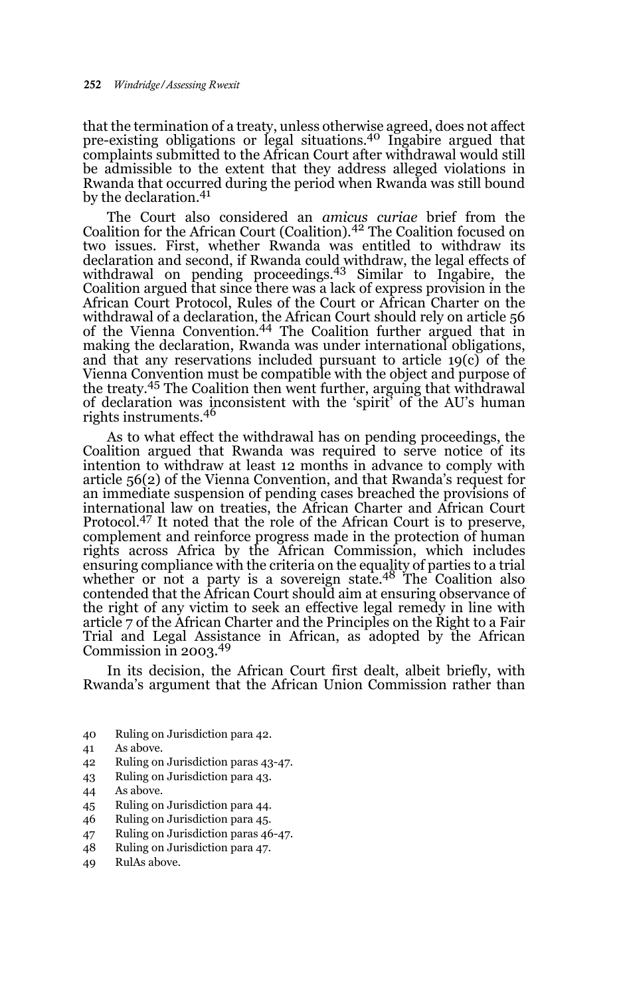that the termination of a treaty, unless otherwise agreed, does not affect pre-existing obligations or legal situations.40 Ingabire argued that complaints submitted to the African Court after withdrawal would still be admissible to the extent that they address alleged violations in Rwanda that occurred during the period when Rwanda was still bound by the declaration.<sup>41</sup>

The Court also considered an *amicus curiae* brief from the Coalition for the African Court (Coalition).42 The Coalition focused on two issues. First, whether Rwanda was entitled to withdraw its declaration and second, if Rwanda could withdraw, the legal effects of<br>withdrawal on pending proceedings.<sup>43</sup> Similar to Ingabire, the Coalition argued that since there was a lack of express provision in the African Court Protocol, Rules of the Court or African Charter on the withdrawal of a declaration, the African Court should rely on article 56 of the Vienna Convention.44 The Coalition further argued that in making the declaration, Rwanda was under international obligations, and that any reservations included pursuant to article 19(c) of the Vienna Convention must be compatible with the object and purpose of the treaty.45 The Coalition then went further, arguing that withdrawal of declaration was inconsistent with the 'spirit' of the AU's human rights instruments.46

As to what effect the withdrawal has on pending proceedings, the Coalition argued that Rwanda was required to serve notice of its intention to withdraw at least 12 months in advance to comply with article 56(2) of the Vienna Convention, and that Rwanda's request for an immediate suspension of pending cases breached the provisions of international law on treaties, the African Charter and African Court Protocol.47 It noted that the role of the African Court is to preserve, complement and reinforce progress made in the protection of human rights across Africa by the African Commission, which includes ensuring compliance with the criteria on the equality of parties to a trial whether or not a party is a sovereign state.48 The Coalition also contended that the African Court should aim at ensuring observance of the right of any victim to seek an effective legal remedy in line with article 7 of the African Charter and the Principles on the Right to a Fair Trial and Legal Assistance in African, as adopted by the African Commission in 2003.49

In its decision, the African Court first dealt, albeit briefly, with Rwanda's argument that the African Union Commission rather than

- 40 Ruling on Jurisdiction para 42.
- 41 As above.
- 42 Ruling on Jurisdiction paras 43-47.
- 43 Ruling on Jurisdiction para 43.
- 44 As above.
- 45 Ruling on Jurisdiction para 44.
- 46 Ruling on Jurisdiction para 45.
- 47 Ruling on Jurisdiction paras 46-47.
- 48 Ruling on Jurisdiction para 47.
- 49 RulAs above.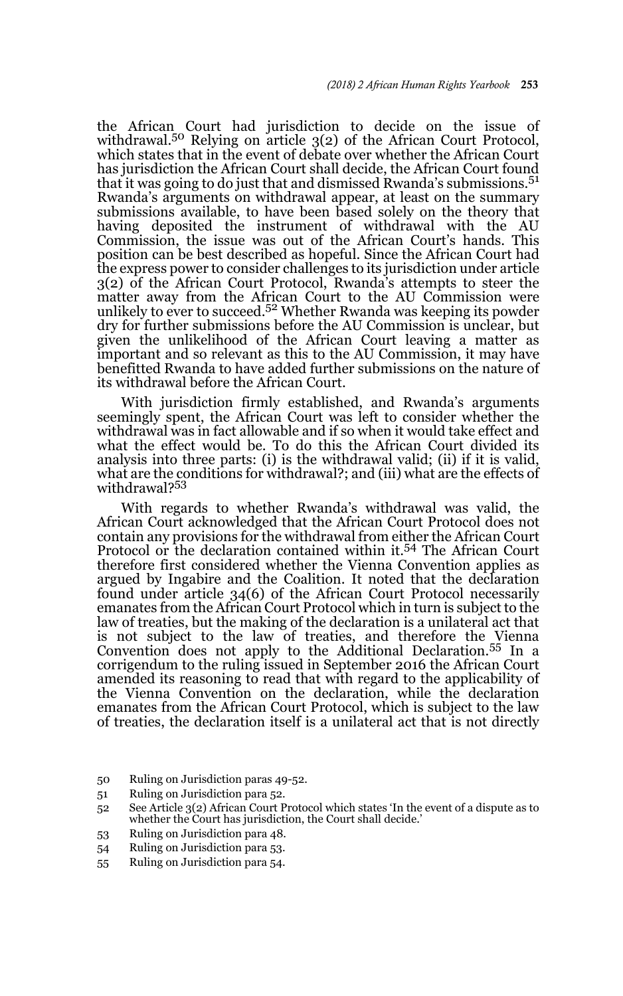the African Court had jurisdiction to decide on the issue of<br>withdrawal.<sup>50</sup> Relying on article 3(2) of the African Court Protocol, which states that in the event of debate over whether the African Court has jurisdiction the African Court shall decide, the African Court found that it was going to do just that and dismissed Rwanda's submissions.<sup>51</sup> Rwanda's arguments on withdrawal appear, at least on the summary submissions available, to have been based solely on the theory that having deposited the instrument of withdrawal with the AU Commission, the issue was out of the African Court's hands. This position can be best described as hopeful. Since the African Court had the express power to consider challenges to its jurisdiction under article 3(2) of the African Court Protocol, Rwanda's attempts to steer the matter away from the African Court to the AU Commission were unlikely to ever to succeed.<sup>52</sup> Whether Rwanda was keeping its powder dry for further submissions before the AU Commission is unclear, but given the unlikelihood of the African Court leaving a matter as important and so relevant as this to the AU Commission, it may have benefitted Rwanda to have added further submissions on the nature of its withdrawal before the African Court.

With jurisdiction firmly established, and Rwanda's arguments seemingly spent, the African Court was left to consider whether the withdrawal was in fact allowable and if so when it would take effect and what the effect would be. To do this the African Court divided its analysis into three parts: (i) is the withdrawal valid; (ii) if it is valid, what are the conditions for withdrawal?; and (iii) what are the effects of withdrawal?<sup>53</sup>

With regards to whether Rwanda's withdrawal was valid, the African Court acknowledged that the African Court Protocol does not contain any provisions for the withdrawal from either the African Court Protocol or the declaration contained within it.<sup>54</sup> The African Court therefore first considered whether the Vienna Convention applies as argued by Ingabire and the Coalition. It noted that the declaration found under article 34(6) of the African Court Protocol necessarily emanates from the African Court Protocol which in turn is subject to the law of treaties, but the making of the declaration is a unilateral act that is not subject to the law of treaties, and therefore the Vienna Convention does not apply to the Additional Declaration.55 In a corrigendum to the ruling issued in September 2016 the African Court amended its reasoning to read that with regard to the applicability of the Vienna Convention on the declaration, while the declaration emanates from the African Court Protocol, which is subject to the law of treaties, the declaration itself is a unilateral act that is not directly

- 50 Ruling on Jurisdiction paras 49-52.
- 51 Ruling on Jurisdiction para 52.

- 53 Ruling on Jurisdiction para 48.
- 54 Ruling on Jurisdiction para 53.
- 55 Ruling on Jurisdiction para 54.

<sup>52</sup> See Article 3(2) African Court Protocol which states 'In the event of a dispute as to whether the Court has jurisdiction, the Court shall decide.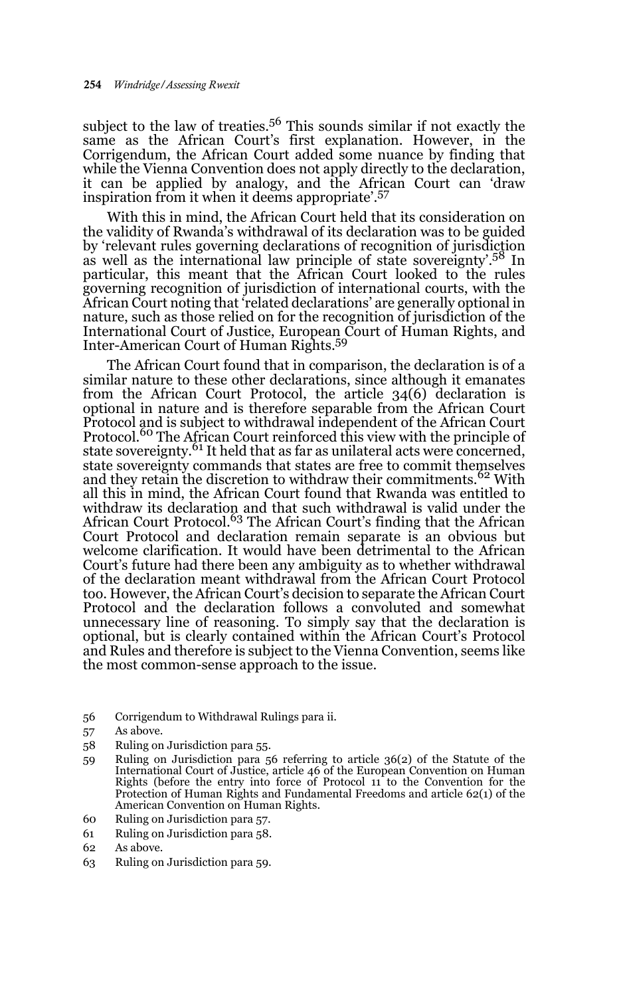subject to the law of treaties.<sup>56</sup> This sounds similar if not exactly the same as the African Court's first explanation. However, in the Corrigendum, the African Court added some nuance by finding that while the Vienna Convention does not apply directly to the declaration, it can be applied by analogy, and the African Court can 'draw inspiration from it when it deems appropriate'.57

With this in mind, the African Court held that its consideration on the validity of Rwanda's withdrawal of its declaration was to be guided by 'relevant rules governing declarations of recognition of jurisdiction as well as the international law principle of state sovereignty'.<sup>58</sup> In particular, this meant that the African Court looked to the rules governing recognition of jurisdiction of international courts, with the African Court noting that 'related declarations' are generally optional in nature, such as those relied on for the recognition of jurisdiction of the International Court of Justice, European Court of Human Rights, and Inter-American Court of Human Rights.59

The African Court found that in comparison, the declaration is of a similar nature to these other declarations, since although it emanates from the African Court Protocol, the article 34(6) declaration is optional in nature and is therefore separable from the African Court Protocol and is subject to withdrawal independent of the African Court Protocol.<sup>60</sup> The African Court reinforced this view with the principle of state sovereignty.<sup>61</sup> It held that as far as unilateral acts were concerned, state sovereignty commands that states are free to commit themselves and they retain the discretion to withdraw their commitments.<sup>62</sup> With all this in mind, the African Court found that Rwanda was entitled to withdraw its declaration and that such withdrawal is valid under the African Court Protocol.<sup>63</sup> The African Court's finding that the African Court Protocol and declaration remain separate is an obvious but welcome clarification. It would have been detrimental to the African Court's future had there been any ambiguity as to whether withdrawal of the declaration meant withdrawal from the African Court Protocol too. However, the African Court's decision to separate the African Court Protocol and the declaration follows a convoluted and somewhat unnecessary line of reasoning. To simply say that the declaration is optional, but is clearly contained within the African Court's Protocol and Rules and therefore is subject to the Vienna Convention, seems like the most common-sense approach to the issue.

- 56 Corrigendum to Withdrawal Rulings para ii.
- 57 As above.
- 58 Ruling on Jurisdiction para 55.
- 59 Ruling on Jurisdiction para 56 referring to article 36(2) of the Statute of the International Court of Justice, article 46 of the European Convention on Human Rights (before the entry into force of Protocol 11 to the Convention for the Protection of Human Rights and Fundamental Freedoms and article 62(1) of the American Convention on Human Rights.
- 60 Ruling on Jurisdiction para 57.
- 61 Ruling on Jurisdiction para 58.
- 62 As above.
- 63 Ruling on Jurisdiction para 59.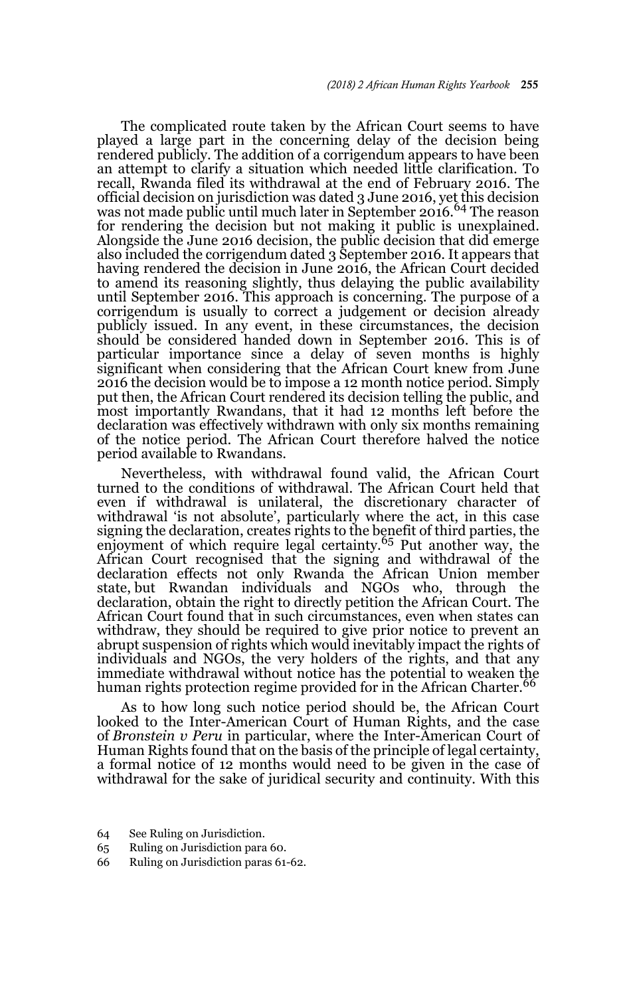The complicated route taken by the African Court seems to have played a large part in the concerning delay of the decision being rendered publicly. The addition of a corrigendum appears to have been an attempt to clarify a situation which needed little clarification. To recall, Rwanda filed its withdrawal at the end of February 2016. The official decision on jurisdiction was dated 3 June 2016, yet this decision was not made public until much later in September 2016.<sup>64</sup> The reason for rendering the decision but not making it public is unexplained. Alongside the June 2016 decision, the public decision that did emerge also included the corrigendum dated 3 September 2016. It appears that having rendered the decision in June 2016, the African Court decided to amend its reasoning slightly, thus delaying the public availability until September 2016. This approach is concerning. The purpose of a corrigendum is usually to correct a judgement or decision already publicly issued. In any event, in these circumstances, the decision should be considered handed down in September 2016. This is of particular importance since a delay of seven months is highly significant when considering that the African Court knew from June 2016 the decision would be to impose a 12 month notice period. Simply put then, the African Court rendered its decision telling the public, and most importantly Rwandans, that it had 12 months left before the declaration was effectively withdrawn with only six months remaining of the notice period. The African Court therefore halved the notice period available to Rwandans.

Nevertheless, with withdrawal found valid, the African Court turned to the conditions of withdrawal. The African Court held that even if withdrawal is unilateral, the discretionary character of withdrawal 'is not absolute', particularly where the act, in this case signing the declaration, creates rights to the benefit of third parties, the enjoyment of which require legal certainty.<sup>65</sup> Put another way, the African Court recognised that the signing and withdrawal of the declaration effects not only Rwanda the African Union member state, but Rwandan individuals and NGOs who, through the declaration, obtain the right to directly petition the African Court. The African Court found that in such circumstances, even when states can withdraw, they should be required to give prior notice to prevent an abrupt suspension of rights which would inevitably impact the rights of individuals and NGOs, the very holders of the rights, and that any immediate withdrawal without notice has the potential to weaken the human rights protection regime provided for in the African Charter.<sup>66</sup>

As to how long such notice period should be, the African Court looked to the Inter-American Court of Human Rights, and the case of *Bronstein v Peru* in particular, where the Inter-American Court of Human Rights found that on the basis of the principle of legal certainty, a formal notice of 12 months would need to be given in the case of withdrawal for the sake of juridical security and continuity. With this

- 64 See Ruling on Jurisdiction.
- 65 Ruling on Jurisdiction para 60.
- 66 Ruling on Jurisdiction paras 61-62.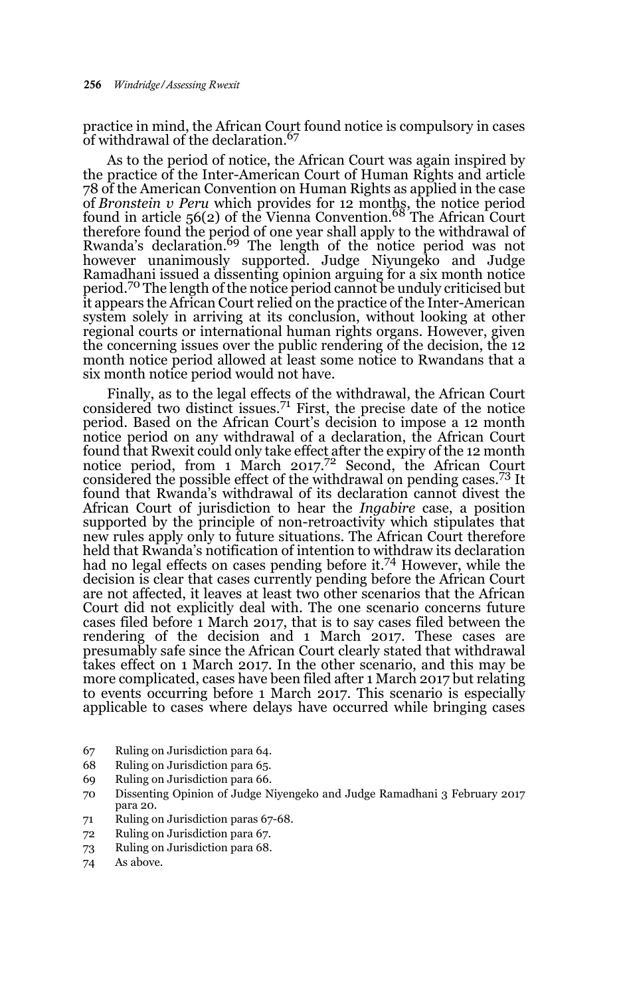practice in mind, the African Court found notice is compulsory in cases of withdrawal of the declaration.<sup>67</sup>

As to the period of notice, the African Court was again inspired by the practice of the Inter-American Court of Human Rights and article 78 of the American Convention on Human Rights as applied in the case of *Bronstein v Peru* which provides for 12 months, the notice period found in article 56(2) of the Vienna Convention.68 The African Court therefore found the period of one year shall apply to the withdrawal of Rwanda's declaration.<sup>69</sup> The length of the notice period was not however unanimously supported. Judge Niyungeko and Judge Ramadhani issued a dissenting opinion arguing for a six month notice period.70 The length of the notice period cannot be unduly criticised but it appears the African Court relied on the practice of the Inter-American system solely in arriving at its conclusion, without looking at other regional courts or international human rights organs. However, given the concerning issues over the public rendering of the decision, the 12 month notice period allowed at least some notice to Rwandans that a six month notice period would not have.

Finally, as to the legal effects of the withdrawal, the African Court considered two distinct issues.<sup>71</sup> First, the precise date of the notice period. Based on the African Court's decision to impose a 12 month notice period on any withdrawal of a declaration, the African Court found that Rwexit could only take effect after the expiry of the 12 month notice period, from 1 March 2017.<sup>72</sup> Second, the African Court considered the possible effect of the withdrawal on pending cases.73 It found that Rwanda's withdrawal of its declaration cannot divest the African Court of jurisdiction to hear the *Ingabire* case, a position supported by the principle of non-retroactivity which stipulates that new rules apply only to future situations. The African Court therefore held that Rwanda's notification of intention to withdraw its declaration had no legal effects on cases pending before it.74 However, while the decision is clear that cases currently pending before the African Court are not affected, it leaves at least two other scenarios that the African Court did not explicitly deal with. The one scenario concerns future cases filed before 1 March 2017, that is to say cases filed between the rendering of the decision and 1 March 2017. These cases are presumably safe since the African Court clearly stated that withdrawal takes effect on 1 March 2017. In the other scenario, and this may be more complicated, cases have been filed after 1 March 2017 but relating to events occurring before 1 March 2017. This scenario is especially applicable to cases where delays have occurred while bringing cases

- 67 Ruling on Jurisdiction para 64.
- 68 Ruling on Jurisdiction para 65.
- 69 Ruling on Jurisdiction para 66.
- 70 Dissenting Opinion of Judge Niyengeko and Judge Ramadhani 3 February 2017 para 20.
- 71 Ruling on Jurisdiction paras 67-68.
- 72 Ruling on Jurisdiction para 67.
- 73 Ruling on Jurisdiction para 68.
- 74 As above.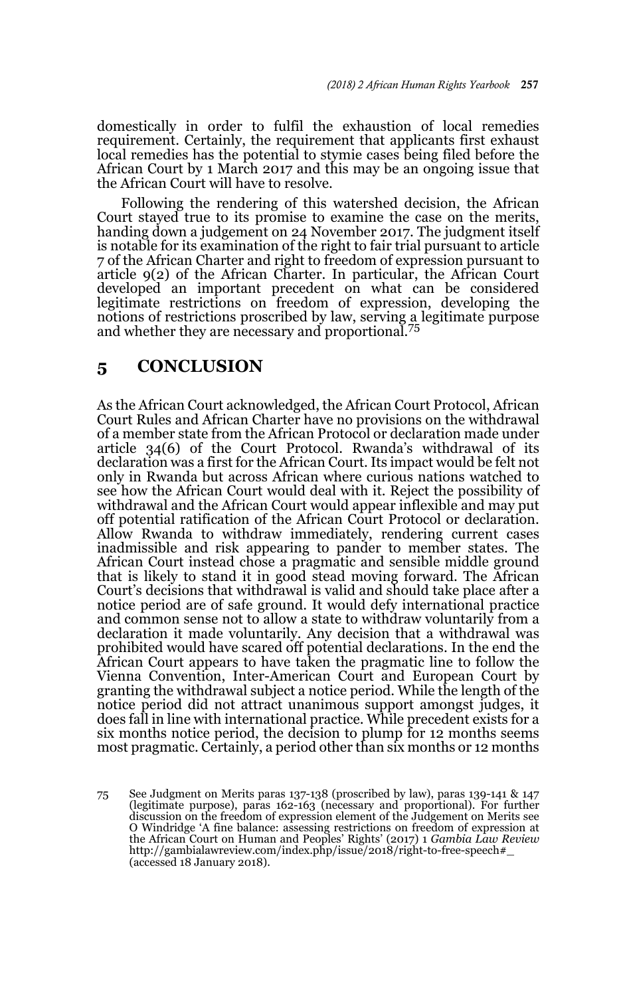domestically in order to fulfil the exhaustion of local remedies requirement. Certainly, the requirement that applicants first exhaust local remedies has the potential to stymie cases being filed before the African Court by 1 March 2017 and this may be an ongoing issue that the African Court will have to resolve.

Following the rendering of this watershed decision, the African Court stayed true to its promise to examine the case on the merits, handing down a judgement on 24 November 2017. The judgment itself is notable for its examination of the right to fair trial pursuant to article 7 of the African Charter and right to freedom of expression pursuant to article 9(2) of the African Charter. In particular, the African Court developed an important precedent on what can be considered legitimate restrictions on freedom of expression, developing the notions of restrictions proscribed by law, serving a legitimate purpose and whether they are necessary and proportional.<sup>75</sup>

### **5 CONCLUSION**

As the African Court acknowledged, the African Court Protocol, African Court Rules and African Charter have no provisions on the withdrawal of a member state from the African Protocol or declaration made under article 34(6) of the Court Protocol. Rwanda's withdrawal of its declaration was a first for the African Court. Its impact would be felt not only in Rwanda but across African where curious nations watched to see how the African Court would deal with it. Reject the possibility of withdrawal and the African Court would appear inflexible and may put off potential ratification of the African Court Protocol or declaration. Allow Rwanda to withdraw immediately, rendering current cases inadmissible and risk appearing to pander to member states. The African Court instead chose a pragmatic and sensible middle ground that is likely to stand it in good stead moving forward. The African Court's decisions that withdrawal is valid and should take place after a notice period are of safe ground. It would defy international practice and common sense not to allow a state to withdraw voluntarily from a declaration it made voluntarily. Any decision that a withdrawal was prohibited would have scared off potential declarations. In the end the African Court appears to have taken the pragmatic line to follow the Vienna Convention, Inter-American Court and European Court by granting the withdrawal subject a notice period. While the length of the notice period did not attract unanimous support amongst judges, it does fall in line with international practice. While precedent exists for a six months notice period, the decision to plump for 12 months seems most pragmatic. Certainly, a period other than six months or 12 months

<sup>75</sup> See Judgment on Merits paras 137-138 (proscribed by law), paras 139-141 & 147 (legitimate purpose), paras 162-163 (necessary and proportional). For further discussion on the freedom of expression element of the Judgement on Merits see O Windridge 'A fine balance: assessing restrictions on freedom of expression at the African Court on Human and Peoples' Rights' (2017) 1 *Gambia Law Review* http://gambialawreview.com/index.php/issue/2018/right-to-free-speech#\_ (accessed 18 January 2018).